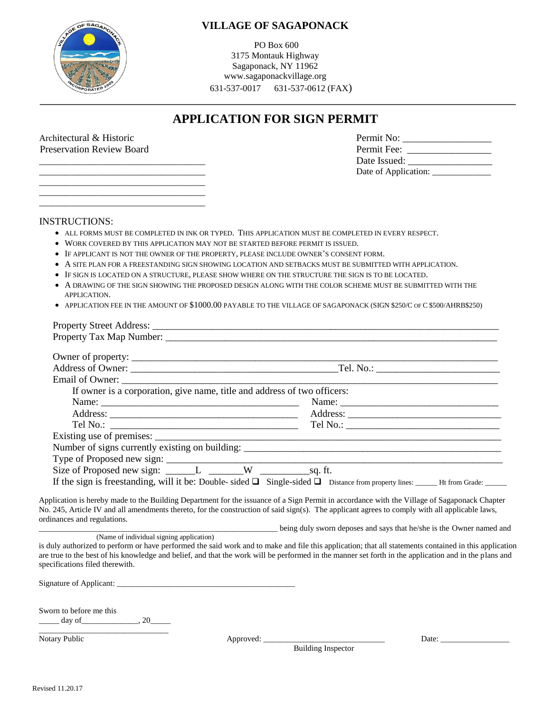

## **VILLAGE OF SAGAPONACK**

PO Box 600 3175 Montauk Highway Sagaponack, NY 11962 www.sagaponackvillage.org 631-537-0017 631-537-0612 (FAX)

# **APPLICATION FOR SIGN PERMIT**

 \_\_\_\_\_\_\_\_\_\_\_\_\_\_\_\_\_\_\_\_\_\_\_\_\_\_\_\_\_\_\_\_\_\_\_\_\_ \_\_\_\_\_\_\_\_\_\_\_\_\_\_\_\_\_\_\_\_\_\_\_\_\_\_\_\_\_\_\_\_\_\_\_\_\_ \_\_\_\_\_\_\_\_\_\_\_\_\_\_\_\_\_\_\_\_\_\_\_\_\_\_\_\_\_\_\_\_\_\_\_\_\_

| Architectural & Historic         | Permit No:           |
|----------------------------------|----------------------|
| <b>Preservation Review Board</b> | Permit Fee:          |
|                                  | Date Issued:         |
|                                  | Date of Application: |

#### INSTRUCTIONS:

- ALL FORMS MUST BE COMPLETED IN INK OR TYPED. THIS APPLICATION MUST BE COMPLETED IN EVERY RESPECT.
- WORK COVERED BY THIS APPLICATION MAY NOT BE STARTED BEFORE PERMIT IS ISSUED.
- IF APPLICANT IS NOT THE OWNER OF THE PROPERTY, PLEASE INCLUDE OWNER'S CONSENT FORM.
- A SITE PLAN FOR A FREESTANDING SIGN SHOWING LOCATION AND SETBACKS MUST BE SUBMITTED WITH APPLICATION.
- IF SIGN IS LOCATED ON A STRUCTURE, PLEASE SHOW WHERE ON THE STRUCTURE THE SIGN IS TO BE LOCATED.
- A DRAWING OF THE SIGN SHOWING THE PROPOSED DESIGN ALONG WITH THE COLOR SCHEME MUST BE SUBMITTED WITH THE APPLICATION.
- APPLICATION FEE IN THE AMOUNT OF \$1000.00 PAYABLE TO THE VILLAGE OF SAGAPONACK (SIGN \$250/C OF C \$500/AHRB\$250)

| If owner is a corporation, give name, title and address of two officers: |  |
|--------------------------------------------------------------------------|--|
|                                                                          |  |
|                                                                          |  |
|                                                                          |  |
|                                                                          |  |
|                                                                          |  |
|                                                                          |  |
|                                                                          |  |
|                                                                          |  |

Application is hereby made to the Building Department for the issuance of a Sign Permit in accordance with the Village of Sagaponack Chapter No. 245, Article IV and all amendments thereto, for the construction of said sign(s). The applicant agrees to comply with all applicable laws, ordinances and regulations.

Letting duly sworn deposes and says that he/she is the Owner named and

(Name of individual signing application)

is duly authorized to perform or have performed the said work and to make and file this application; that all statements contained in this application are true to the best of his knowledge and belief, and that the work will be performed in the manner set forth in the application and in the plans and specifications filed therewith.

Signature of Applicant: \_\_\_\_\_\_\_\_\_\_\_\_\_\_\_\_\_\_\_\_\_\_\_\_\_\_\_\_\_\_\_\_\_\_\_\_\_\_\_\_\_\_\_\_

Sworn to before me this \_\_\_\_\_ day of\_\_\_\_\_\_\_\_\_\_\_\_\_\_, 20\_\_\_\_\_

\_\_\_\_\_\_\_\_\_\_\_\_\_\_\_\_\_\_\_\_\_\_\_\_\_\_\_\_\_\_\_\_ Notary Public Approved: \_\_\_\_\_\_\_\_\_\_\_\_\_\_\_\_\_\_\_\_\_\_\_\_\_\_\_\_\_\_ Date: \_\_\_\_\_\_\_\_\_\_\_\_\_\_\_\_\_

Building Inspector